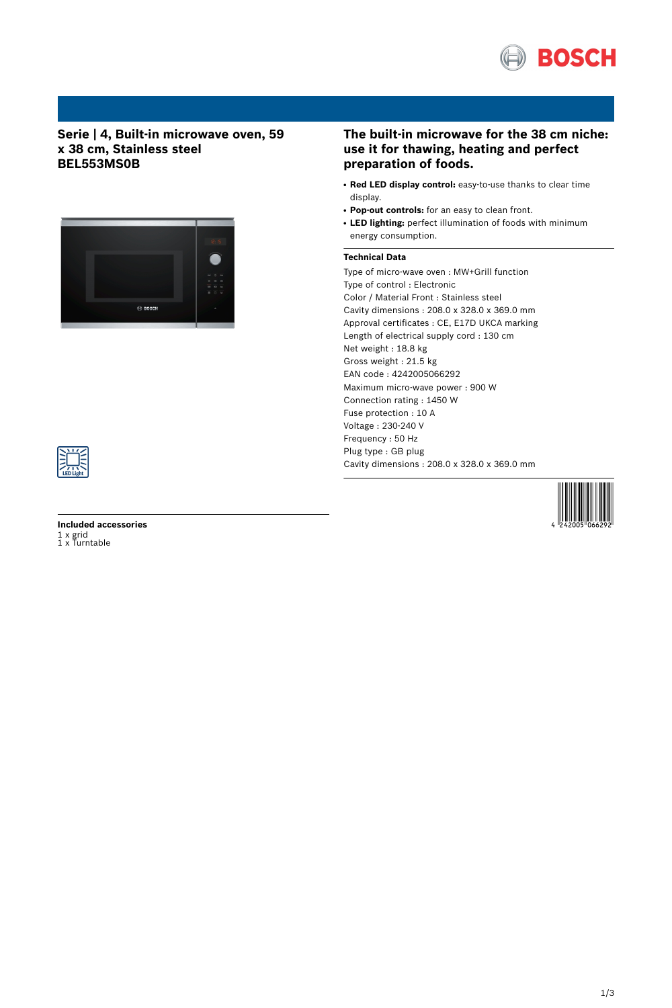

## **Serie | 4, Built-in microwave oven, 59 x 38 cm, Stainless steel BEL553MS0B**



## **The built-in microwave for the 38 cm niche: use it for thawing, heating and perfect preparation of foods.**

- **Red LED display control:** easy-to-use thanks to clear time display.
- **Pop-out controls:** for an easy to clean front.
- LED lighting: perfect illumination of foods with minimum energy consumption.

## **Technical Data**

Type of micro-wave oven : MW+Grill function Type of control : Electronic Color / Material Front : Stainless steel Cavity dimensions : 208.0 x 328.0 x 369.0 mm Approval certificates : CE, E17D UKCA marking Length of electrical supply cord : 130 cm Net weight : 18.8 kg Gross weight : 21.5 kg EAN code : 4242005066292 Maximum micro-wave power : 900 W Connection rating : 1450 W Fuse protection : 10 A Voltage : 230-240 V Frequency : 50 Hz Plug type : GB plug Cavity dimensions : 208.0 x 328.0 x 369.0 mm



**Included accessories** 1 x grid 1 x Turntable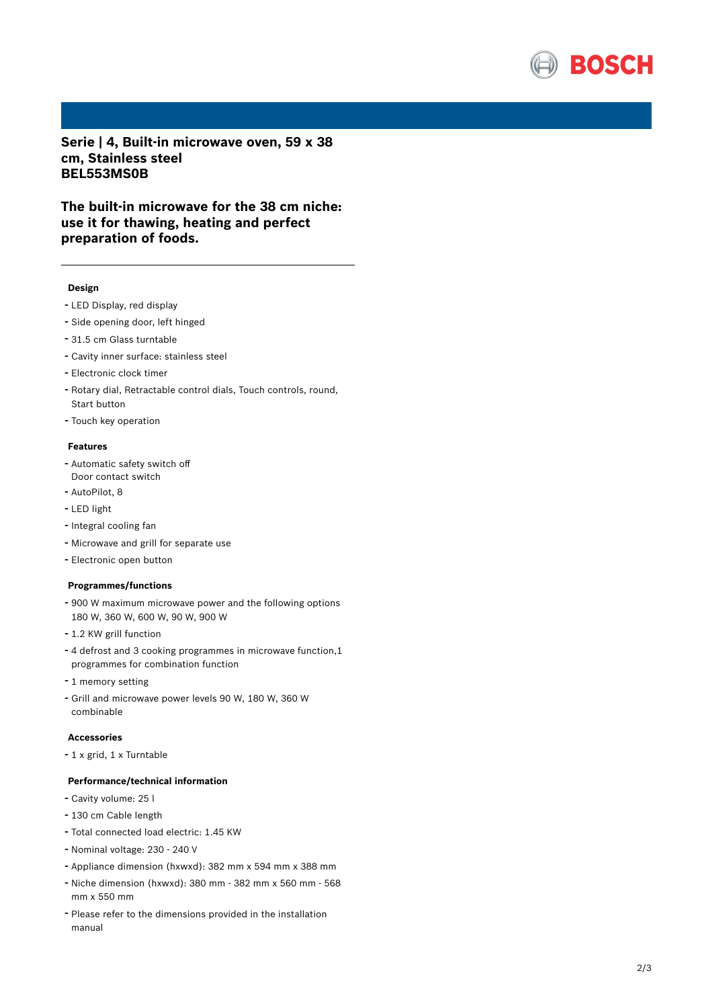

**Serie | 4, Built-in microwave oven, 59 x 38 cm, Stainless steel BEL553MS0B**

**The built-in microwave for the 38 cm niche: use it for thawing, heating and perfect preparation of foods.**

#### **Design**

- LED Display, red display
- Side opening door, left hinged
- 31.5 cm Glass turntable
- Cavity inner surface: stainless steel
- Electronic clock timer
- Rotary dial, Retractable control dials, Touch controls, round, Start button
- Touch key operation

#### **Features**

- Automatic safety switch off Door contact switch
- AutoPilot, <sup>8</sup>
- LED light
- Integral cooling fan
- Microwave and grill for separate use
- Electronic open button

#### **Programmes/functions**

- <sup>900</sup> <sup>W</sup> maximum microwave power and the following options 180 W, 360 W, 600 W, 90 W, 900 W
- 1.2 KW grill function
- <sup>4</sup> defrost and <sup>3</sup> cooking programmes in microwave function,1 programmes for combination function
- <sup>1</sup> memory setting
- Grill and microwave power levels <sup>90</sup> W, <sup>180</sup> W, <sup>360</sup> <sup>W</sup> combinable

### **Accessories**

- <sup>1</sup> <sup>x</sup> grid, <sup>1</sup> <sup>x</sup> Turntable

### **Performance/technical information**

- Cavity volume: <sup>25</sup> <sup>l</sup>
- <sup>130</sup> cm Cable length
- Total connected load electric: 1.45 KW
- Nominal voltage: <sup>230</sup> <sup>240</sup> <sup>V</sup>
- Appliance dimension (hxwxd): 382 mm x 594 mm x 388 mm
- Niche dimension (hxwxd): <sup>380</sup> mm <sup>382</sup> mm <sup>x</sup> <sup>560</sup> mm <sup>568</sup> mm x 550 mm
- Please refer to the dimensions provided in the installation manual